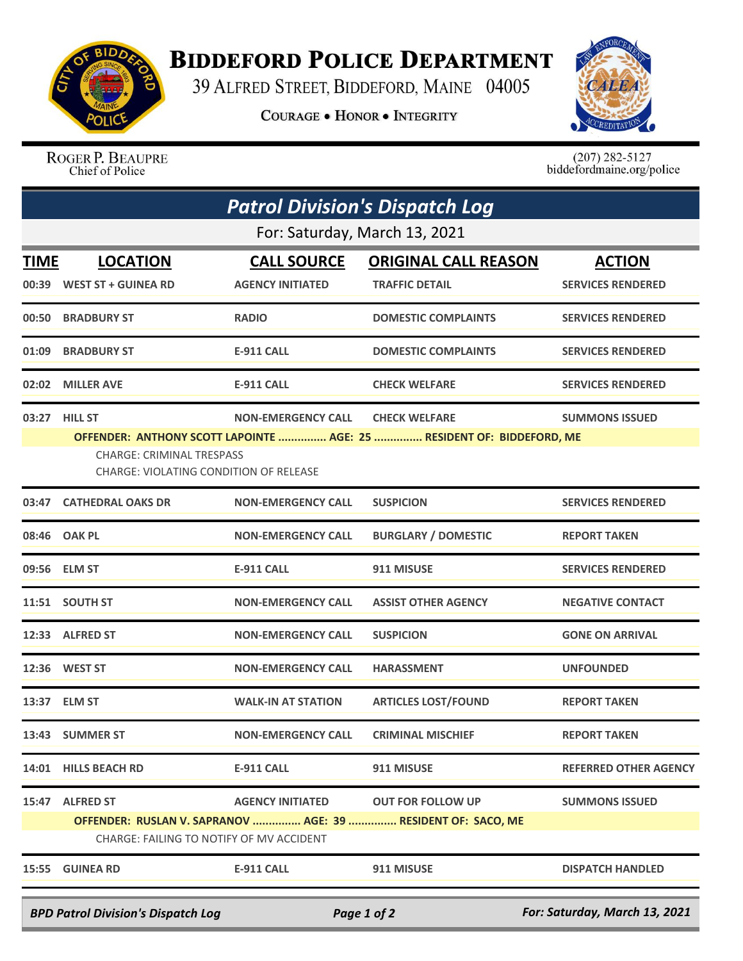

## **BIDDEFORD POLICE DEPARTMENT**

39 ALFRED STREET, BIDDEFORD, MAINE 04005

**COURAGE . HONOR . INTEGRITY** 



ROGER P. BEAUPRE<br>Chief of Police

 $(207)$  282-5127<br>biddefordmaine.org/police

| <b>Patrol Division's Dispatch Log</b>                                                     |                                                                                                                                                                                                                                                    |                                               |                                                                                          |                                           |  |  |  |
|-------------------------------------------------------------------------------------------|----------------------------------------------------------------------------------------------------------------------------------------------------------------------------------------------------------------------------------------------------|-----------------------------------------------|------------------------------------------------------------------------------------------|-------------------------------------------|--|--|--|
| For: Saturday, March 13, 2021                                                             |                                                                                                                                                                                                                                                    |                                               |                                                                                          |                                           |  |  |  |
| <b>TIME</b>                                                                               | <b>LOCATION</b><br>00:39 WEST ST + GUINEA RD                                                                                                                                                                                                       | <b>CALL SOURCE</b><br><b>AGENCY INITIATED</b> | <b>ORIGINAL CALL REASON</b><br><b>TRAFFIC DETAIL</b>                                     | <b>ACTION</b><br><b>SERVICES RENDERED</b> |  |  |  |
|                                                                                           | 00:50 BRADBURY ST                                                                                                                                                                                                                                  | <b>RADIO</b>                                  | <b>DOMESTIC COMPLAINTS</b>                                                               | <b>SERVICES RENDERED</b>                  |  |  |  |
|                                                                                           | 01:09 BRADBURY ST                                                                                                                                                                                                                                  | <b>E-911 CALL</b>                             | <b>DOMESTIC COMPLAINTS</b>                                                               | <b>SERVICES RENDERED</b>                  |  |  |  |
|                                                                                           | 02:02 MILLER AVE                                                                                                                                                                                                                                   | <b>E-911 CALL</b>                             | <b>CHECK WELFARE</b>                                                                     | <b>SERVICES RENDERED</b>                  |  |  |  |
|                                                                                           | 03:27 HILL ST<br><b>NON-EMERGENCY CALL</b><br><b>CHECK WELFARE</b><br><b>SUMMONS ISSUED</b><br>OFFENDER: ANTHONY SCOTT LAPOINTE  AGE: 25  RESIDENT OF: BIDDEFORD, ME<br><b>CHARGE: CRIMINAL TRESPASS</b><br>CHARGE: VIOLATING CONDITION OF RELEASE |                                               |                                                                                          |                                           |  |  |  |
|                                                                                           | 03:47 CATHEDRAL OAKS DR                                                                                                                                                                                                                            | <b>NON-EMERGENCY CALL</b>                     | <b>SUSPICION</b>                                                                         | <b>SERVICES RENDERED</b>                  |  |  |  |
|                                                                                           | 08:46 OAK PL                                                                                                                                                                                                                                       | <b>NON-EMERGENCY CALL</b>                     | <b>BURGLARY / DOMESTIC</b>                                                               | <b>REPORT TAKEN</b>                       |  |  |  |
|                                                                                           | 09:56 ELM ST                                                                                                                                                                                                                                       | <b>E-911 CALL</b>                             | 911 MISUSE                                                                               | <b>SERVICES RENDERED</b>                  |  |  |  |
|                                                                                           | 11:51 SOUTH ST                                                                                                                                                                                                                                     | <b>NON-EMERGENCY CALL</b>                     | <b>ASSIST OTHER AGENCY</b>                                                               | <b>NEGATIVE CONTACT</b>                   |  |  |  |
|                                                                                           | 12:33 ALFRED ST                                                                                                                                                                                                                                    | <b>NON-EMERGENCY CALL</b>                     | <b>SUSPICION</b>                                                                         | <b>GONE ON ARRIVAL</b>                    |  |  |  |
|                                                                                           | 12:36 WEST ST                                                                                                                                                                                                                                      | <b>NON-EMERGENCY CALL</b>                     | <b>HARASSMENT</b>                                                                        | <b>UNFOUNDED</b>                          |  |  |  |
|                                                                                           | 13:37 ELM ST                                                                                                                                                                                                                                       | <b>WALK-IN AT STATION</b>                     | <b>ARTICLES LOST/FOUND</b>                                                               | <b>REPORT TAKEN</b>                       |  |  |  |
|                                                                                           | 13:43 SUMMER ST                                                                                                                                                                                                                                    | <b>NON-EMERGENCY CALL</b>                     | <b>CRIMINAL MISCHIEF</b>                                                                 | <b>REPORT TAKEN</b>                       |  |  |  |
|                                                                                           | 14:01 HILLS BEACH RD                                                                                                                                                                                                                               | <b>E-911 CALL</b>                             | 911 MISUSE                                                                               | <b>REFERRED OTHER AGENCY</b>              |  |  |  |
| 15:47                                                                                     | <b>ALFRED ST</b><br>CHARGE: FAILING TO NOTIFY OF MV ACCIDENT                                                                                                                                                                                       | <b>AGENCY INITIATED</b>                       | <b>OUT FOR FOLLOW UP</b><br>OFFENDER: RUSLAN V. SAPRANOV  AGE: 39  RESIDENT OF: SACO, ME | <b>SUMMONS ISSUED</b>                     |  |  |  |
|                                                                                           | 15:55 GUINEA RD                                                                                                                                                                                                                                    | <b>E-911 CALL</b>                             | 911 MISUSE                                                                               | <b>DISPATCH HANDLED</b>                   |  |  |  |
| For: Saturday, March 13, 2021<br><b>BPD Patrol Division's Dispatch Log</b><br>Page 1 of 2 |                                                                                                                                                                                                                                                    |                                               |                                                                                          |                                           |  |  |  |